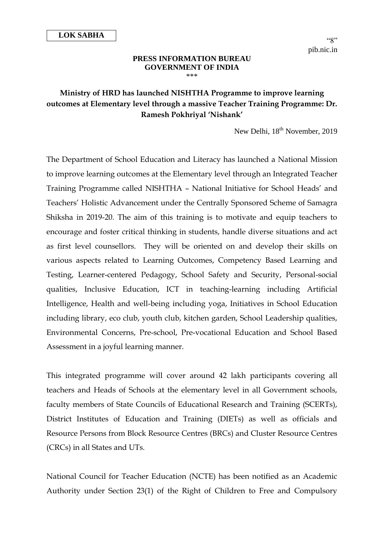## **PRESS INFORMATION BUREAU GOVERNMENT OF INDIA** \*\*\*

## **Ministry of HRD has launched NISHTHA Programme to improve learning outcomes at Elementary level through a massive Teacher Training Programme: Dr. Ramesh Pokhriyal 'Nishank'**

New Delhi, 18<sup>th</sup> November, 2019

The Department of School Education and Literacy has launched a National Mission to improve learning outcomes at the Elementary level through an Integrated Teacher Training Programme called NISHTHA – National Initiative for School Heads' and Teachers' Holistic Advancement under the Centrally Sponsored Scheme of Samagra Shiksha in 2019-20. The aim of this training is to motivate and equip teachers to encourage and foster critical thinking in students, handle diverse situations and act as first level counsellors. They will be oriented on and develop their skills on various aspects related to Learning Outcomes, Competency Based Learning and Testing, Learner-centered Pedagogy, School Safety and Security, Personal-social qualities, Inclusive Education, ICT in teaching-learning including Artificial Intelligence, Health and well-being including yoga, Initiatives in School Education including library, eco club, youth club, kitchen garden, School Leadership qualities, Environmental Concerns, Pre-school, Pre-vocational Education and School Based Assessment in a joyful learning manner.

This integrated programme will cover around 42 lakh participants covering all teachers and Heads of Schools at the elementary level in all Government schools, faculty members of State Councils of Educational Research and Training (SCERTs), District Institutes of Education and Training (DIETs) as well as officials and Resource Persons from Block Resource Centres (BRCs) and Cluster Resource Centres (CRCs) in all States and UTs.

National Council for Teacher Education (NCTE) has been notified as an Academic Authority under Section 23(1) of the Right of Children to Free and Compulsory